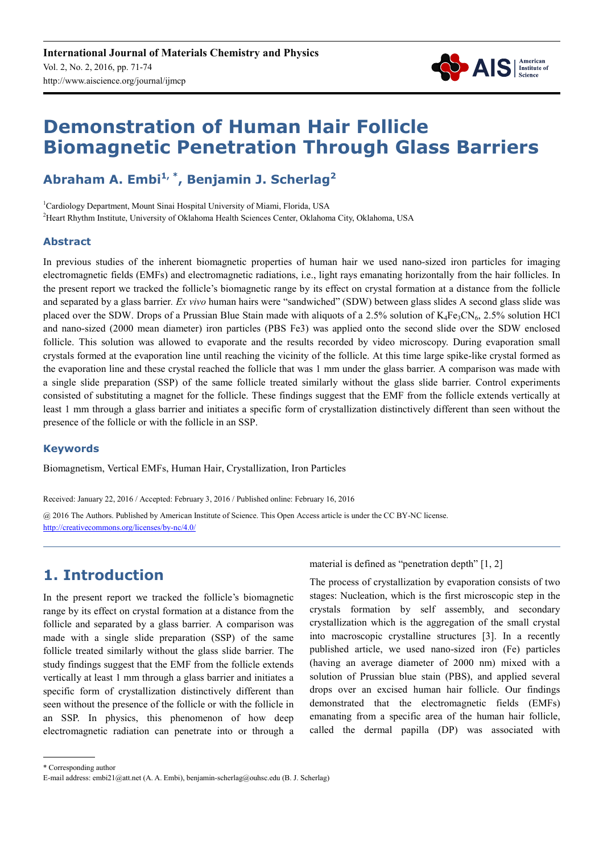

# **Demonstration of Human Hair Follicle Biomagnetic Penetration Through Glass Barriers**

## **Abraham A. Embi1, \*, Benjamin J. Scherlag<sup>2</sup>**

<sup>1</sup>Cardiology Department, Mount Sinai Hospital University of Miami, Florida, USA <sup>2</sup>Heart Rhythm Institute, University of Oklahoma Health Sciences Center, Oklahoma City, Oklahoma, USA

#### **Abstract**

In previous studies of the inherent biomagnetic properties of human hair we used nano-sized iron particles for imaging electromagnetic fields (EMFs) and electromagnetic radiations, i.e., light rays emanating horizontally from the hair follicles. In the present report we tracked the follicle's biomagnetic range by its effect on crystal formation at a distance from the follicle and separated by a glass barrier*. Ex vivo* human hairs were "sandwiched" (SDW) between glass slides A second glass slide was placed over the SDW. Drops of a Prussian Blue Stain made with aliquots of a 2.5% solution of  $K_4Fe_3CN_6$ , 2.5% solution HCl and nano-sized (2000 mean diameter) iron particles (PBS Fe3) was applied onto the second slide over the SDW enclosed follicle. This solution was allowed to evaporate and the results recorded by video microscopy. During evaporation small crystals formed at the evaporation line until reaching the vicinity of the follicle. At this time large spike-like crystal formed as the evaporation line and these crystal reached the follicle that was 1 mm under the glass barrier. A comparison was made with a single slide preparation (SSP) of the same follicle treated similarly without the glass slide barrier. Control experiments consisted of substituting a magnet for the follicle. These findings suggest that the EMF from the follicle extends vertically at least 1 mm through a glass barrier and initiates a specific form of crystallization distinctively different than seen without the presence of the follicle or with the follicle in an SSP.

#### **Keywords**

Biomagnetism, Vertical EMFs, Human Hair, Crystallization, Iron Particles

Received: January 22, 2016 / Accepted: February 3, 2016 / Published online: February 16, 2016 @ 2016 The Authors. Published by American Institute of Science. This Open Access article is under the CC BY-NC license.

http://creativecommons.org/licenses/by-nc/4.0/

## **1. Introduction**

In the present report we tracked the follicle's biomagnetic range by its effect on crystal formation at a distance from the follicle and separated by a glass barrier*.* A comparison was made with a single slide preparation (SSP) of the same follicle treated similarly without the glass slide barrier. The study findings suggest that the EMF from the follicle extends vertically at least 1 mm through a glass barrier and initiates a specific form of crystallization distinctively different than seen without the presence of the follicle or with the follicle in an SSP. In physics, this phenomenon of how deep electromagnetic radiation can penetrate into or through a

material is defined as "penetration depth" [1, 2]

The process of crystallization by evaporation consists of two stages: Nucleation, which is the first microscopic step in the crystals formation by self assembly, and secondary crystallization which is the aggregation of the small crystal into macroscopic crystalline structures [3]. In a recently published article, we used nano-sized iron (Fe) particles (having an average diameter of 2000 nm) mixed with a solution of Prussian blue stain (PBS), and applied several drops over an excised human hair follicle. Our findings demonstrated that the electromagnetic fields (EMFs) emanating from a specific area of the human hair follicle, called the dermal papilla (DP) was associated with

\* Corresponding author

E-mail address: embi21@att.net (A. A. Embi), benjamin-scherlag@ouhsc.edu (B. J. Scherlag)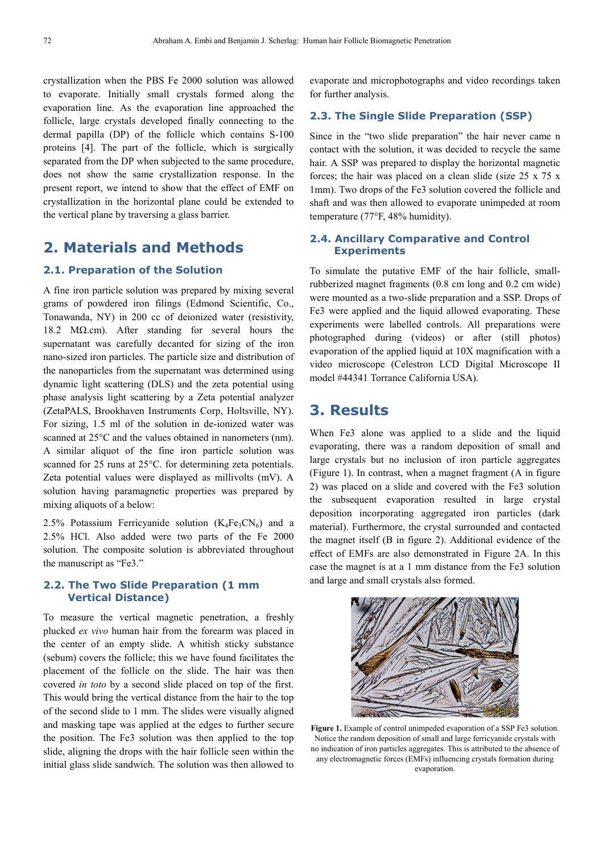crystallization when the PBS Fe 2000 solution was allowed to evaporate. Initially small crystals formed along the evaporation line. As the evaporation line approached the follicle, large crystals developed finally connecting to the dermal papilla (DP) of the follicle which contains S-100 proteins [4]. The part of the follicle, which is surgically separated from the DP when subjected to the same procedure, does not show the same crystallization response. In the present report, we intend to show that the effect of EMF on crystallization in the horizontal plane could be extended to the vertical plane by traversing a glass barrier.

## **2. Materials and Methods**

#### **2.1. Preparation of the Solution**

A fine iron particle solution was prepared by mixing several grams of powdered iron filings (Edmond Scientific, Co., Tonawanda, NY) in 200 cc of deionized water (resistivity, 18.2 MΩ.cm). After standing for several hours the supernatant was carefully decanted for sizing of the iron nano-sized iron particles. The particle size and distribution of the nanoparticles from the supernatant was determined using dynamic light scattering (DLS) and the zeta potential using phase analysis light scattering by a Zeta potential analyzer (ZetaPALS, Brookhaven Instruments Corp, Holtsville, NY). For sizing, 1.5 ml of the solution in de-ionized water was scanned at 25°C and the values obtained in nanometers (nm). A similar aliquot of the fine iron particle solution was scanned for 25 runs at 25°C. for determining zeta potentials. Zeta potential values were displayed as millivolts (mV). A solution having paramagnetic properties was prepared by mixing aliquots of a below:

2.5% Potassium Ferricyanide solution  $(K_4Fe_3CN_6)$  and a 2.5% HCl. Also added were two parts of the Fe 2000 solution. The composite solution is abbreviated throughout the manuscript as "Fe3."

#### **2.2. The Two Slide Preparation (1 mm Vertical Distance)**

To measure the vertical magnetic penetration, a freshly plucked *ex vivo* human hair from the forearm was placed in the center of an empty slide. A whitish sticky substance (sebum) covers the follicle; this we have found facilitates the placement of the follicle on the slide. The hair was then covered *in toto* by a second slide placed on top of the first. This would bring the vertical distance from the hair to the top of the second slide to 1 mm. The slides were visually aligned and masking tape was applied at the edges to further secure the position. The Fe3 solution was then applied to the top slide, aligning the drops with the hair follicle seen within the initial glass slide sandwich. The solution was then allowed to

evaporate and microphotographs and video recordings taken for further analysis.

#### **2.3. The Single Slide Preparation (SSP)**

Since in the "two slide preparation" the hair never came n contact with the solution, it was decided to recycle the same hair. A SSP was prepared to display the horizontal magnetic forces; the hair was placed on a clean slide (size 25 x 75 x 1mm). Two drops of the Fe3 solution covered the follicle and shaft and was then allowed to evaporate unimpeded at room temperature (77°F, 48% humidity).

#### **2.4. Ancillary Comparative and Control Experiments**

To simulate the putative EMF of the hair follicle, smallrubberized magnet fragments (0.8 cm long and 0.2 cm wide) were mounted as a two-slide preparation and a SSP. Drops of Fe3 were applied and the liquid allowed evaporating. These experiments were labelled controls. All preparations were photographed during (videos) or after (still photos) evaporation of the applied liquid at 10X magnification with a video microscope (Celestron LCD Digital Microscope II model #44341 Torrance California USA).

### **3. Results**

When Fe3 alone was applied to a slide and the liquid evaporating, there was a random deposition of small and large crystals but no inclusion of iron particle aggregates (Figure 1). In contrast, when a magnet fragment (A in figure 2) was placed on a slide and covered with the Fe3 solution the subsequent evaporation resulted in large crystal deposition incorporating aggregated iron particles (dark material). Furthermore, the crystal surrounded and contacted the magnet itself (B in figure 2). Additional evidence of the effect of EMFs are also demonstrated in Figure 2A. In this case the magnet is at a 1 mm distance from the Fe3 solution and large and small crystals also formed.



Figure 1. Example of control unimpeded evaporation of a SSP Fe3 solution. Notice the random deposition of small and large ferricyanide crystals with no indication of iron particles aggregates. This is attributed to the absence of any electromagnetic forces (EMFs) influencing crystals formation during evaporation.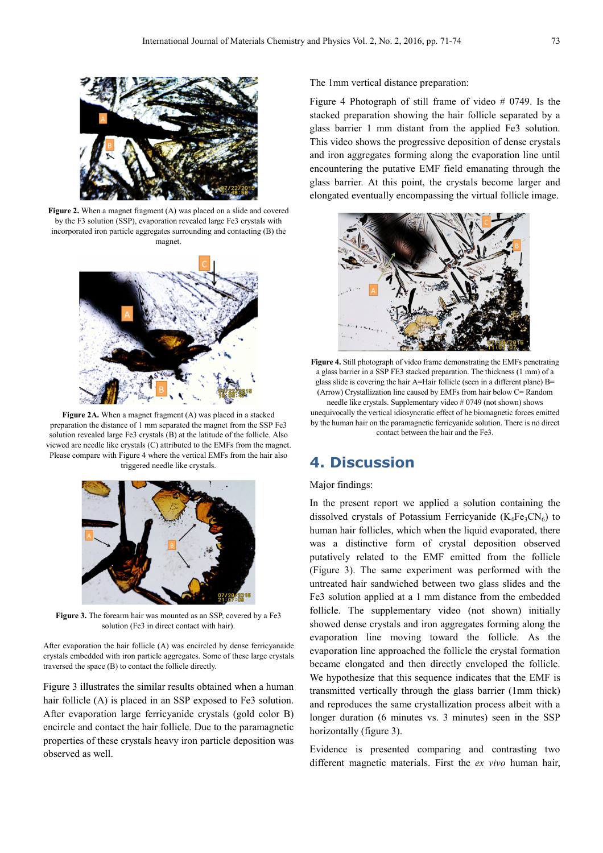

Figure 2. When a magnet fragment (A) was placed on a slide and covered by the F3 solution (SSP), evaporation revealed large Fe3 crystals with incorporated iron particle aggregates surrounding and contacting (B) the magnet.



**Figure 2A.** When a magnet fragment (A) was placed in a stacked preparation the distance of 1 mm separated the magnet from the SSP Fe3 solution revealed large Fe3 crystals (B) at the latitude of the follicle. Also viewed are needle like crystals (C) attributed to the EMFs from the magnet. Please compare with Figure 4 where the vertical EMFs from the hair also triggered needle like crystals.



Figure 3. The forearm hair was mounted as an SSP, covered by a Fe3 solution (Fe3 in direct contact with hair).

After evaporation the hair follicle (A) was encircled by dense ferricyanaide crystals embedded with iron particle aggregates. Some of these large crystals traversed the space (B) to contact the follicle directly.

Figure 3 illustrates the similar results obtained when a human hair follicle (A) is placed in an SSP exposed to Fe3 solution. After evaporation large ferricyanide crystals (gold color B) encircle and contact the hair follicle. Due to the paramagnetic properties of these crystals heavy iron particle deposition was observed as well.

The 1mm vertical distance preparation:

Figure 4 Photograph of still frame of video # 0749. Is the stacked preparation showing the hair follicle separated by a glass barrier 1 mm distant from the applied Fe3 solution. This video shows the progressive deposition of dense crystals and iron aggregates forming along the evaporation line until encountering the putative EMF field emanating through the glass barrier. At this point, the crystals become larger and elongated eventually encompassing the virtual follicle image.



**Figure 4.** Still photograph of video frame demonstrating the EMFs penetrating a glass barrier in a SSP FE3 stacked preparation. The thickness (1 mm) of a glass slide is covering the hair A=Hair follicle (seen in a different plane) B= (Arrow) Crystallization line caused by EMFs from hair below C= Random needle like crystals. Supplementary video # 0749 (not shown) shows unequivocally the vertical idiosyncratic effect of he biomagnetic forces emitted by the human hair on the paramagnetic ferricyanide solution. There is no direct contact between the hair and the Fe3.

## **4. Discussion**

#### Major findings:

In the present report we applied a solution containing the dissolved crystals of Potassium Ferricyanide  $(K_4Fe_3CN_6)$  to human hair follicles, which when the liquid evaporated, there was a distinctive form of crystal deposition observed putatively related to the EMF emitted from the follicle (Figure 3). The same experiment was performed with the untreated hair sandwiched between two glass slides and the Fe3 solution applied at a 1 mm distance from the embedded follicle. The supplementary video (not shown) initially showed dense crystals and iron aggregates forming along the evaporation line moving toward the follicle. As the evaporation line approached the follicle the crystal formation became elongated and then directly enveloped the follicle. We hypothesize that this sequence indicates that the EMF is transmitted vertically through the glass barrier (1mm thick) and reproduces the same crystallization process albeit with a longer duration (6 minutes vs. 3 minutes) seen in the SSP horizontally (figure 3).

Evidence is presented comparing and contrasting two different magnetic materials. First the *ex vivo* human hair,